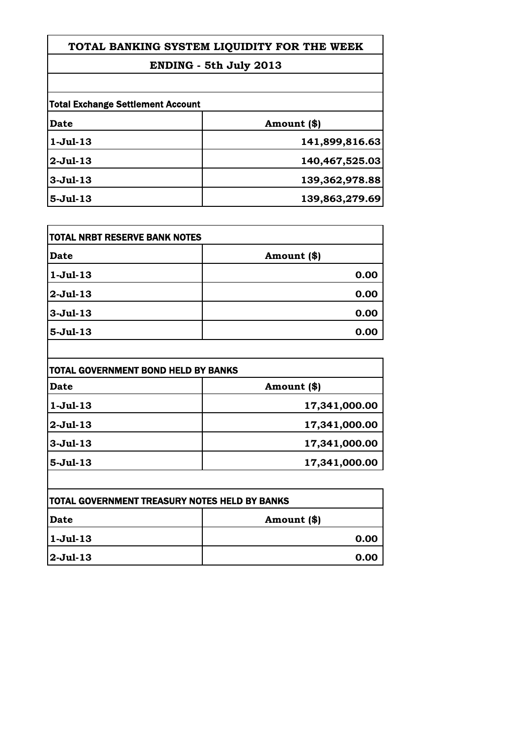| TOTAL BANKING SYSTEM LIQUIDITY FOR THE WEEK |
|---------------------------------------------|
| ENDING - 5th July 2013                      |
|                                             |
| <b>Total Exchange Settlement Account</b>    |
| Amount (\$)                                 |
| 141,899,816.63                              |
|                                             |

| $2$ -Jul-13     | 140,467,525.03 |
|-----------------|----------------|
| $3$ -Jul-13     | 139,362,978.88 |
| <b>5-Jul-13</b> | 139,863,279.69 |

| <b>TOTAL NRBT RESERVE BANK NOTES</b> |             |
|--------------------------------------|-------------|
| <b>Date</b>                          | Amount (\$) |
| $1-Jul-13$                           | 0.00        |
| $2-Jul-13$                           | 0.00        |
| $3-Jul-13$                           | 0.00        |
| $5-Jul-13$                           | 0.00        |

| Date       | Amount (\$)   |
|------------|---------------|
| $1-Jul-13$ | 17,341,000.00 |
| $2-Jul-13$ | 17,341,000.00 |
| $3-Jul-13$ | 17,341,000.00 |
| $5-Jul-13$ | 17,341,000.00 |

| <b>ITOTAL GOVERNMENT TREASURY NOTES HELD BY BANKS</b> |             |
|-------------------------------------------------------|-------------|
| Date                                                  | Amount (\$) |
| 1-Jul-13                                              | 0.00        |
| <b>2-Jul-13</b>                                       | 0.00        |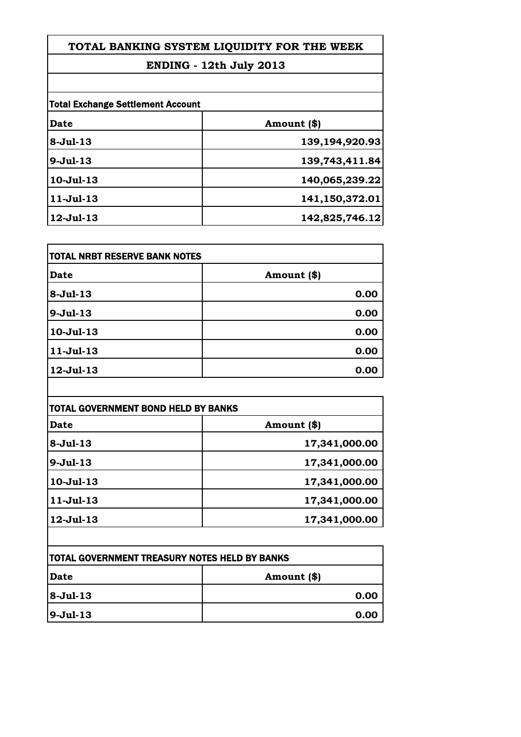## **TOTAL BANKING SYSTEM LIQUIDITY FOR THE WEEK**

## **ENDING - 12th July 2013**

| <b>Total Exchange Settlement Account</b> |                |
|------------------------------------------|----------------|
| Date                                     | Amount (\$)    |
| $8-Jul-13$                               | 139,194,920.93 |
| $9-Jul-13$                               | 139,743,411.84 |
| $10-Jul-13$                              | 140,065,239.22 |
| $11 -$ Jul $-13$                         | 141,150,372.01 |
| $12 -$ Jul $-13$                         | 142,825,746.12 |

| TOTAL NRBT RESERVE BANK NOTES |             |
|-------------------------------|-------------|
| Date                          | Amount (\$) |
| $8-Jul-13$                    | 0.00        |
| $9-Jul-13$                    | 0.00        |
| $10 -$ Jul $-13$              | 0.00        |
| $11-Jul-13$                   | 0.00        |
| $12 -$ Jul $-13$              | 0.00        |

| TOTAL GOVERNMENT BOND HELD BY BANKS |               |
|-------------------------------------|---------------|
| Date                                | Amount (\$)   |
| $8-Jul-13$                          | 17,341,000.00 |
| $9-Jul-13$                          | 17,341,000.00 |
| $10-Jul-13$                         | 17,341,000.00 |
| $11-Jul-13$                         | 17,341,000.00 |
| $12 -$ Jul $-13$                    | 17,341,000.00 |

| <b>ITOTAL GOVERNMENT TREASURY NOTES HELD BY BANKS</b> |             |
|-------------------------------------------------------|-------------|
| <b>Date</b>                                           | Amount (\$) |
| $ 8-Ju1-13 $                                          | 0.00        |
| $ 9-Jul-13 $                                          | 0.00        |